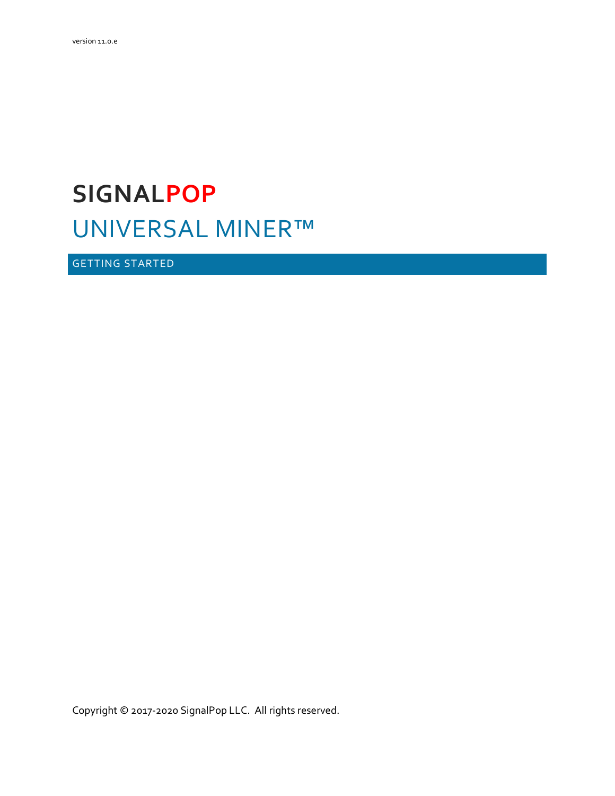# **SIGNALPOP** UNIVERSAL MINER™

<span id="page-0-0"></span>GETTING STARTED

Copyright © 2017-2020 SignalPop LLC. All rights reserved.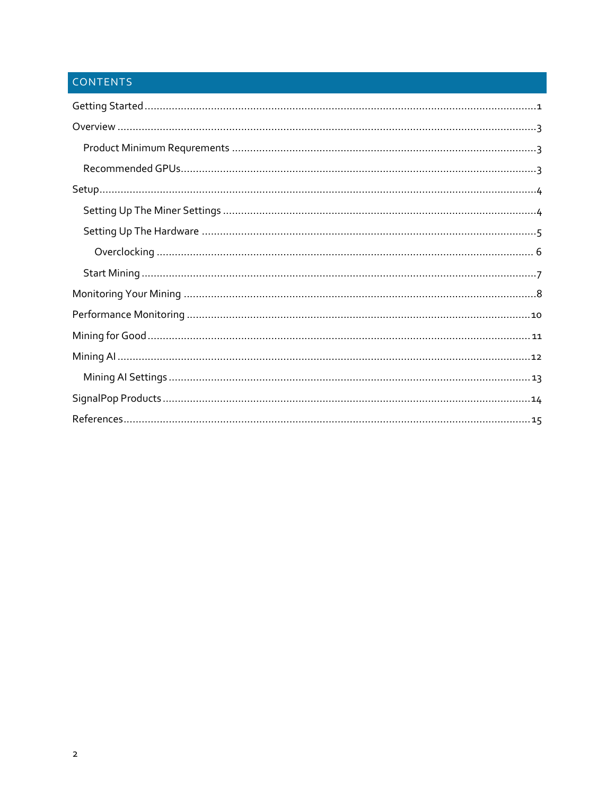# CONTENTS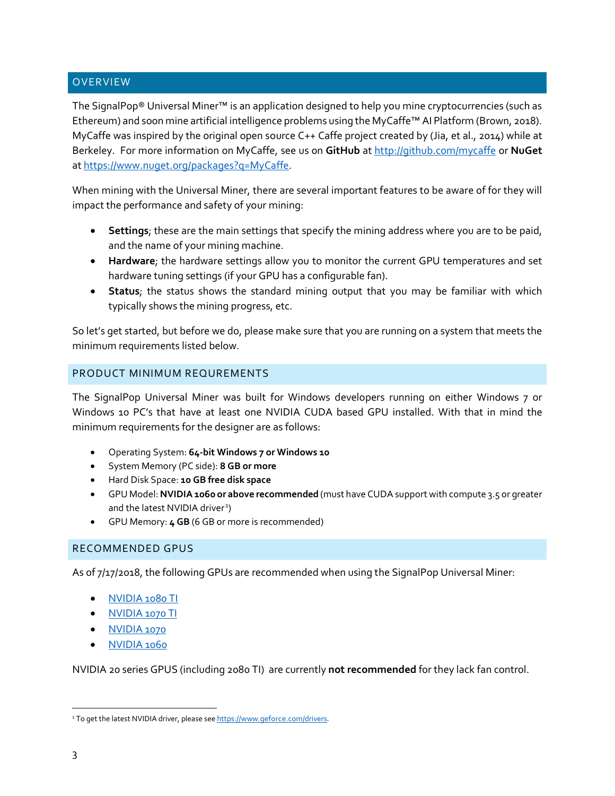# <span id="page-2-0"></span>OVERVIEW

The SignalPop® Universal Miner™ is an application designed to help you mine cryptocurrencies (such as Ethereum) and soon mine artificial intelligence problems using the MyCaffe™ AI Platform (Brown, 2018). MyCaffe was inspired by the original open source C++ Caffe project created by (Jia, et al., 2014) while at Berkeley. For more information on MyCaffe, see us on **GitHub** at<http://github.com/mycaffe> or **NuGet** at [https://www.nuget.org/packages?q=MyCaffe.](https://www.nuget.org/packages?q=MyCaffe)

When mining with the Universal Miner, there are several important features to be aware of for they will impact the performance and safety of your mining:

- **Settings**; these are the main settings that specify the mining address where you are to be paid, and the name of your mining machine.
- **Hardware**; the hardware settings allow you to monitor the current GPU temperatures and set hardware tuning settings (if your GPU has a configurable fan).
- **Status**; the status shows the standard mining output that you may be familiar with which typically shows the mining progress, etc.

So let's get started, but before we do, please make sure that you are running on a system that meets the minimum requirements listed below.

# <span id="page-2-1"></span>PRODUCT MINIMUM REQUREMENTS

The SignalPop Universal Miner was built for Windows developers running on either Windows 7 or Windows 10 PC's that have at least one NVIDIA CUDA based GPU installed. With that in mind the minimum requirements for the designer are as follows:

- Operating System: **64-bit Windows 7 or Windows 10**
- System Memory (PC side): **8 GB or more**
- Hard Disk Space: **10 GB free disk space**
- GPU Model: **NVIDIA 1060 or above recommended** (must have CUDA support with compute 3.5 or greater and the latest NVIDIA driver<sup>[1](#page-2-3)</sup>)
- GPU Memory: **4 GB** (6 GB or more is recommended)

# <span id="page-2-2"></span>RECOMMENDED GPUS

As of 7/17/2018, the following GPUs are recommended when using the SignalPop Universal Miner:

- [NVIDIA 1080 TI](https://www.nvidia.com/en-us/geforce/products/10series/geforce-gtx-1080-ti/)
- [NVIDIA 1070 TI](https://www.nvidia.com/en-us/geforce/products/10series/geforce-gtx-1070-ti/)
- [NVIDIA 1070](https://www.nvidia.com/en-us/geforce/products/10series/geforce-gtx-1070-ti/)
- [NVIDIA 1060](https://www.nvidia.com/en-us/geforce/products/10series/geforce-gtx-1060/)

NVIDIA 20 series GPUS (including 2080 TI) are currently **not recommended** for they lack fan control.

<span id="page-2-3"></span><sup>&</sup>lt;sup>1</sup> To get the latest NVIDIA driver, please see https://www.geforce.com/drivers.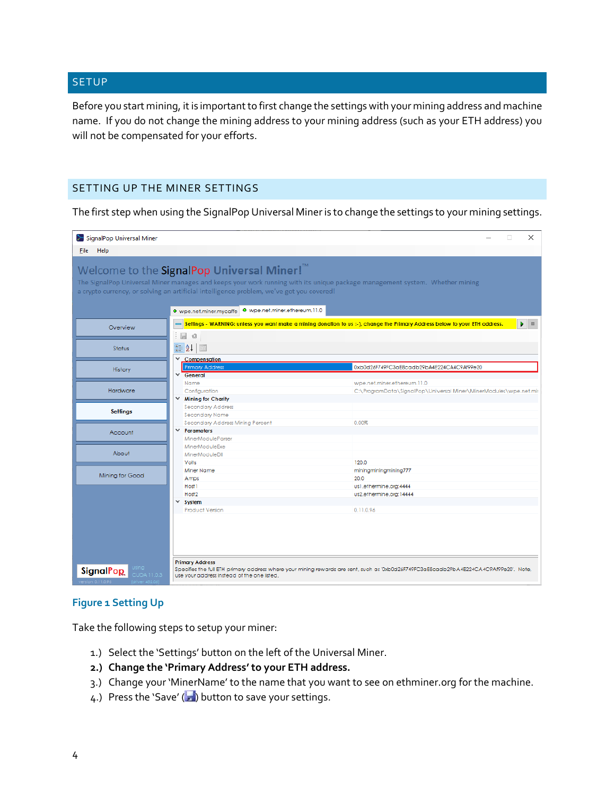# <span id="page-3-0"></span>SETUP

Before you start mining, it is important to first change the settings with your mining address and machine name. If you do not change the mining address to your mining address (such as your ETH address) you will not be compensated for your efforts.

# <span id="page-3-1"></span>SETTING UP THE MINER SETTINGS

The first step when using the SignalPop Universal Mineris to change the settings to your mining settings.

| SignalPop Universal Miner                                         |                                                                                                                                                                                                             | $\times$                                                                                                                                                            |
|-------------------------------------------------------------------|-------------------------------------------------------------------------------------------------------------------------------------------------------------------------------------------------------------|---------------------------------------------------------------------------------------------------------------------------------------------------------------------|
| Help<br>File                                                      |                                                                                                                                                                                                             |                                                                                                                                                                     |
|                                                                   | Welcome to the SignalPop Universal Miner! <sup>™</sup><br>a crypto currency, or solving an artificial intelligence problem, we've got you covered!<br>● wpe.net.miner.mycaffe ● wpe.net.miner.ethereum.11.0 | The SignalPop Universal Miner manages and keeps your work running with its unique package management system. Whether mining                                         |
| Overview                                                          | <b>FO</b><br>÷                                                                                                                                                                                              | Settings - WARNING: unless you want make a mining donation to us :-), change the Primary Address below to your ETH address.<br>$\blacktriangleright$ $\blacksquare$ |
| Status                                                            | $\frac{1}{2}$ $\frac{1}{2}$<br>$\boxed{\Xi}$<br>$\times$ Compensation                                                                                                                                       |                                                                                                                                                                     |
| History                                                           | <b>Primary Address</b><br>$\times$ General                                                                                                                                                                  | 0xb0d26F749FC3aE8cadb29bA4E224CA4C9Af99e20                                                                                                                          |
| Hardware                                                          | Name<br>Configuration<br>$\times$ Mining for Charity                                                                                                                                                        | wpe.net.miner.ethereum.11.0<br>C:\ProgramData\SignalPop\Universal Miner\MinerModules\wpe.net.mir                                                                    |
| <b>Settings</b>                                                   | <b>Secondary Address</b><br>Secondary Name<br>Secondary Address Mining Percent                                                                                                                              | 0.00%                                                                                                                                                               |
| Account                                                           | $\times$ Parameters<br><b>MinerModuleParser</b>                                                                                                                                                             |                                                                                                                                                                     |
| About                                                             | MinerModuleExe<br>MinerModuleDII<br>Volts                                                                                                                                                                   | 120.0                                                                                                                                                               |
| Mining for Good                                                   | Miner Name<br>Amps<br>Host1                                                                                                                                                                                 | miningminingmining777<br>20.0<br>us1.ethermine.org:4444                                                                                                             |
|                                                                   | Host <sub>2</sub><br>$\times$ System<br><b>Product Version</b>                                                                                                                                              | us2.ethermine.org:14444<br>0.11.0.96                                                                                                                                |
| using l<br><b>SignalPop</b><br><b>CUDA 11.0.3</b><br>on 0.11.0.96 | <b>Primary Address</b><br>use your address instead of the one listed.                                                                                                                                       | Specifies the full ETH primary address where your mining rewards are sent, such as '0xb0d26F749FC3aE8cadb29bA4E224CA4C9Af99e20'. Note,                              |

# **Figure 1 Setting Up**

Take the following steps to setup your miner:

- 1.) Select the 'Settings' button on the left of the Universal Miner.
- **2.) Change the 'Primary Address' to your ETH address.**
- 3.) Change your 'MinerName' to the name that you want to see on ethminer.org for the machine.
- 4.) Press the 'Save' ( $\Box$ ) button to save your settings.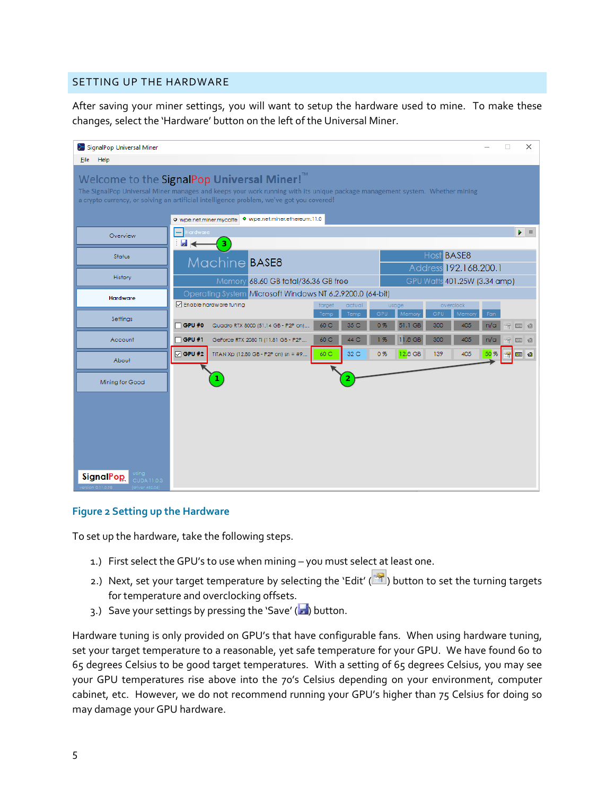# <span id="page-4-0"></span>SETTING UP THE HARDWARE

After saving your miner settings, you will want to setup the hardware used to mine. To make these changes, select the 'Hardware' button on the left of the Universal Miner.

| SignalPop Universal Miner                                                                                                                                                                                                                                                         |                                                                                                              | ×<br>о                                                                                                                                |  |  |  |
|-----------------------------------------------------------------------------------------------------------------------------------------------------------------------------------------------------------------------------------------------------------------------------------|--------------------------------------------------------------------------------------------------------------|---------------------------------------------------------------------------------------------------------------------------------------|--|--|--|
| <b>File</b><br>Help                                                                                                                                                                                                                                                               |                                                                                                              |                                                                                                                                       |  |  |  |
| Welcome to the SignalPop Universal Miner! <sup>™</sup><br>The SignalPop Universal Miner manages and keeps your work running with its unique package management system. Whether mining<br>a crypto currency, or solving an artificial intelligence problem, we've got you covered! |                                                                                                              |                                                                                                                                       |  |  |  |
|                                                                                                                                                                                                                                                                                   | O wpe.net.miner.ethereum.11.0<br>O wpe.net.miner.mycaffe                                                     |                                                                                                                                       |  |  |  |
| Overview                                                                                                                                                                                                                                                                          | lardware<br>Ы<br>3                                                                                           | $\blacktriangleright$ $\blacksquare$                                                                                                  |  |  |  |
| Status                                                                                                                                                                                                                                                                            | Machine BASE8                                                                                                | Host <b>BASE8</b><br>Address 192.168.200.1                                                                                            |  |  |  |
| History                                                                                                                                                                                                                                                                           | Memory 68.60 GB total/36.36 GB free                                                                          | GPU Watts 401.25W (3.34 amp)                                                                                                          |  |  |  |
| <b>Hardware</b>                                                                                                                                                                                                                                                                   | Operating System Microsoft Windows NT 6.2.9200.0 (64-bit)                                                    |                                                                                                                                       |  |  |  |
| Settings                                                                                                                                                                                                                                                                          | ○ Enable hardware funing<br>target<br>Temp<br>$\sqcap$ GPU #0<br>Quadro RTX 8000 (51.14 GB - P2P on)<br>60 C | overclock<br>actual<br>usage<br>GPU<br>GPU<br>Temp<br>Fan<br>Memor<br>Memo<br>35 C<br>51.1 GB<br>300<br>0%<br>405<br>n/a<br>容<br>12 1 |  |  |  |
| Account                                                                                                                                                                                                                                                                           | $\sqrt{GPU#1}$<br>60 C<br>GeForce RTX 2080 Ti (11.81 GB - P2P                                                | 11.8 GB<br>300<br>405<br>44 C<br>1%<br>n/a<br>饲<br>GRU                                                                                |  |  |  |
| About                                                                                                                                                                                                                                                                             | $\nabla$ GPU #2<br>60 C<br>TITAN Xp (12.80 GB - P2P on) sn = #9                                              | 32 C<br>12.8 GB<br>0%<br>139<br>405<br>50 %<br><b>B</b> a<br>癣                                                                        |  |  |  |
| Mining for Good                                                                                                                                                                                                                                                                   |                                                                                                              | 2                                                                                                                                     |  |  |  |
|                                                                                                                                                                                                                                                                                   |                                                                                                              |                                                                                                                                       |  |  |  |
| <b>SignalPop</b><br>CUDA 11.0.3                                                                                                                                                                                                                                                   |                                                                                                              |                                                                                                                                       |  |  |  |

# **Figure 2 Setting up the Hardware**

To set up the hardware, take the following steps.

- 1.) First select the GPU's to use when mining you must select at least one.
- 2.) Next, set your target temperature by selecting the 'Edit' (**1994**) button to set the turning targets for temperature and overclocking offsets.
- 3.) Save your settings by pressing the 'Save' ( $\Box$ ) button.

Hardware tuning is only provided on GPU's that have configurable fans. When using hardware tuning, set your target temperature to a reasonable, yet safe temperature for your GPU. We have found 60 to 65 degrees Celsius to be good target temperatures. With a setting of 65 degrees Celsius, you may see your GPU temperatures rise above into the 70's Celsius depending on your environment, computer cabinet, etc. However, we do not recommend running your GPU's higher than 75 Celsius for doing so may damage your GPU hardware.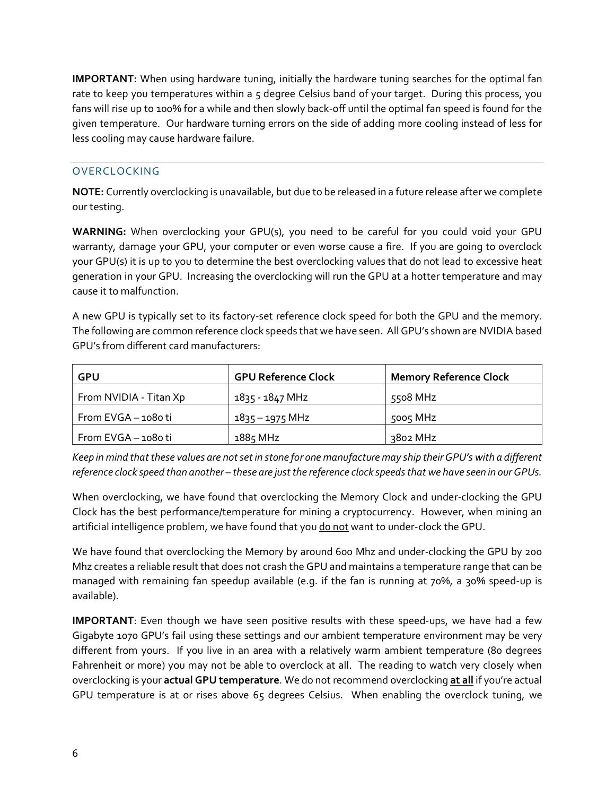**IMPORTANT:** When using hardware tuning, initially the hardware tuning searches for the optimal fan rate to keep you temperatures within a 5 degree Celsius band of your target. During this process, you fans will rise up to 100% for a while and then slowly back-off until the optimal fan speed is found for the given temperature. Our hardware turning errors on the side of adding more cooling instead of less for less cooling may cause hardware failure.

# <span id="page-5-0"></span>**OVERCLOCKING**

**NOTE:** Currently overclocking is unavailable, but due to be released in a future release after we complete our testing.

**WARNING:** When overclocking your GPU(s), you need to be careful for you could void your GPU warranty, damage your GPU, your computer or even worse cause a fire. If you are going to overclock your GPU(s) it is up to you to determine the best overclocking values that do not lead to excessive heat generation in your GPU. Increasing the overclocking will run the GPU at a hotter temperature and may cause it to malfunction.

A new GPU is typically set to its factory-set reference clock speed for both the GPU and the memory. The following are common reference clock speeds that we have seen. All GPU's shown are NVIDIA based GPU's from different card manufacturers:

| GPU                    | <b>GPU Reference Clock</b> | <b>Memory Reference Clock</b> |
|------------------------|----------------------------|-------------------------------|
| From NVIDIA - Titan Xp | 1835 - 1847 MHz            | 5508 MHz                      |
| From EVGA - 1080 ti    | $1835 - 1975$ MHz          | 5005 MHz                      |
| From EVGA-1080 ti      | 1885 MHz                   | 3802 MHz                      |

*Keep in mind that these values are not set in stone for one manufacture may ship their GPU's with a different reference clock speed than another – these are just the reference clock speeds that we have seen in our GPUs.*

When overclocking, we have found that overclocking the Memory Clock and under-clocking the GPU Clock has the best performance/temperature for mining a cryptocurrency. However, when mining an artificial intelligence problem, we have found that you do not want to under-clock the GPU.

We have found that overclocking the Memory by around 600 Mhz and under-clocking the GPU by 200 Mhz creates a reliable result that does not crash the GPU and maintains a temperature range that can be managed with remaining fan speedup available (e.g. if the fan is running at 70%, a 30% speed-up is available).

**IMPORTANT**: Even though we have seen positive results with these speed-ups, we have had a few Gigabyte 1070 GPU's fail using these settings and our ambient temperature environment may be very different from yours. If you live in an area with a relatively warm ambient temperature (80 degrees Fahrenheit or more) you may not be able to overclock at all. The reading to watch very closely when overclocking is your **actual GPU temperature**. We do not recommend overclocking **at all** if you're actual GPU temperature is at or rises above 65 degrees Celsius. When enabling the overclock tuning, we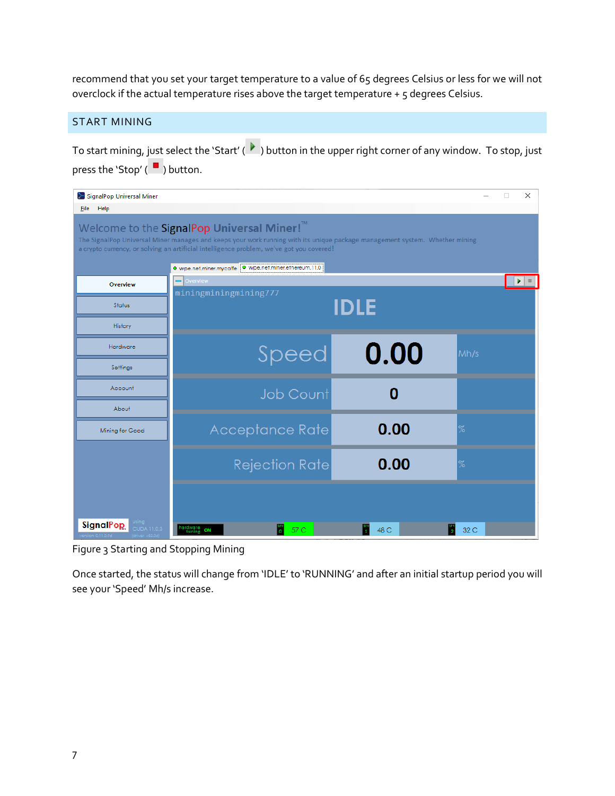recommend that you set your target temperature to a value of 65 degrees Celsius or less for we will not overclock if the actual temperature rises above the target temperature + 5 degrees Celsius.

# <span id="page-6-0"></span>START MINING

To start mining, just select the 'Start' ( $\blacktriangleright$ ) button in the upper right corner of any window. To stop, just press the 'Stop'  $(\blacksquare)$  button.

| SignalPop Universal Miner       |                                                                                                                                                                                       |      | ×<br>п       |
|---------------------------------|---------------------------------------------------------------------------------------------------------------------------------------------------------------------------------------|------|--------------|
| File Help                       |                                                                                                                                                                                       |      |              |
|                                 | Welcome to the SignalPop Universal Miner! <sup>™</sup><br>The SignalPop Universal Miner manages and keeps your work running with its unique package management system. Whether mining |      |              |
|                                 | a crypto currency, or solving an artificial intelligence problem, we've got you covered!                                                                                              |      |              |
| Overview                        | · wpe.net.miner.mycaffe • wpe.net.miner.ethereum.11.0<br>$\equiv$ Overview                                                                                                            |      | $\Box$<br>Þ. |
| Status                          | miningminingmining777                                                                                                                                                                 | IDLE |              |
| History                         |                                                                                                                                                                                       |      |              |
| Hardware                        | Speed                                                                                                                                                                                 | 0.00 | Mh/s         |
| Settings                        |                                                                                                                                                                                       |      |              |
| Account                         | <b>Job Count</b>                                                                                                                                                                      | ი    |              |
| About                           |                                                                                                                                                                                       |      |              |
| Mining for Good                 | Acceptance Rate                                                                                                                                                                       | 0.00 | %            |
|                                 | <b>Rejection Rate</b>                                                                                                                                                                 | 0.00 | $\%$         |
|                                 |                                                                                                                                                                                       |      |              |
| using.                          |                                                                                                                                                                                       |      |              |
| <b>SignalPop</b><br>CUDA 11.0.3 | hardware<br>tuning ON<br>57 C                                                                                                                                                         | 48 C | 32 C         |

Figure 3 Starting and Stopping Mining

Once started, the status will change from 'IDLE' to 'RUNNING' and after an initial startup period you will see your 'Speed' Mh/s increase.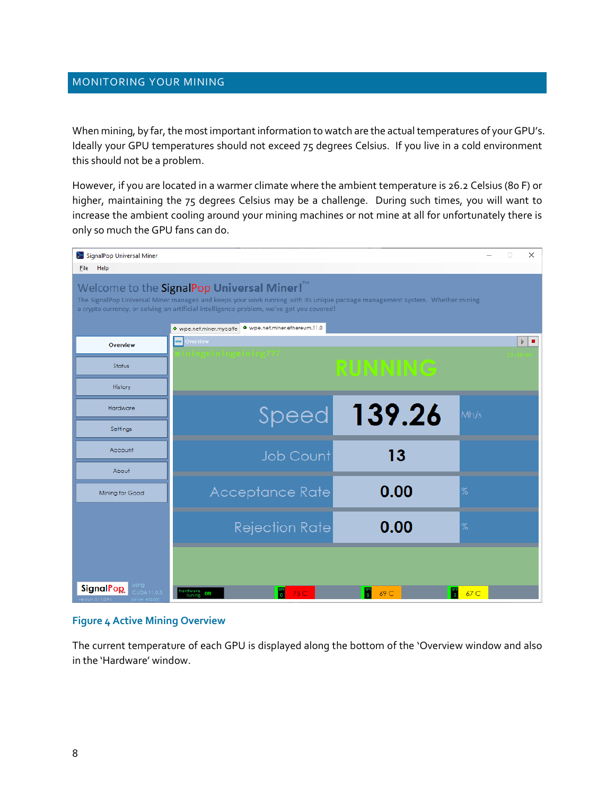### <span id="page-7-0"></span>MONITORING YOUR MINING

When mining, by far, the most important information to watch are the actual temperatures of your GPU's. Ideally your GPU temperatures should not exceed 75 degrees Celsius. If you live in a cold environment this should not be a problem.

However, if you are located in a warmer climate where the ambient temperature is 26.2 Celsius (80 F) or higher, maintaining the 75 degrees Celsius may be a challenge. During such times, you will want to increase the ambient cooling around your mining machines or not mine at all for unfortunately there is only so much the GPU fans can do.

| SignalPop Universal Miner                                                                                                                                                                                                                                                                                                                  |                                    |                              | X               |  |  |
|--------------------------------------------------------------------------------------------------------------------------------------------------------------------------------------------------------------------------------------------------------------------------------------------------------------------------------------------|------------------------------------|------------------------------|-----------------|--|--|
| Help<br><b>File</b>                                                                                                                                                                                                                                                                                                                        |                                    |                              |                 |  |  |
| Welcome to the SignalPop Universal Miner! <sup>™</sup><br>The SignalPop Universal Miner manages and keeps your work running with its unique package management system. Whether mining<br>a crypto currency, or solving an artificial intelligence problem, we've got you covered!<br>● wpe.net.miner.mycaffe ● wpe.net.miner.ethereum.11.0 |                                    |                              |                 |  |  |
| Overview                                                                                                                                                                                                                                                                                                                                   | Overview                           |                              | Þ.<br>п         |  |  |
| Status                                                                                                                                                                                                                                                                                                                                     | ingminingmining777                 | <b>RUNNING</b>               |                 |  |  |
| History                                                                                                                                                                                                                                                                                                                                    |                                    |                              |                 |  |  |
| Hardware                                                                                                                                                                                                                                                                                                                                   | <b>Speed</b>                       | 139.26                       | Mh/s            |  |  |
| Settings                                                                                                                                                                                                                                                                                                                                   |                                    |                              |                 |  |  |
| Account                                                                                                                                                                                                                                                                                                                                    | <b>Job Count</b>                   | 13                           |                 |  |  |
| About                                                                                                                                                                                                                                                                                                                                      |                                    |                              |                 |  |  |
| Mining for Good                                                                                                                                                                                                                                                                                                                            | Acceptance Rate                    | 0.00                         | %               |  |  |
|                                                                                                                                                                                                                                                                                                                                            | <b>Rejection Rate</b>              | 0.00                         | %               |  |  |
| <b>SignalPop</b><br>using<br>CUDA 11.0.3                                                                                                                                                                                                                                                                                                   |                                    |                              |                 |  |  |
|                                                                                                                                                                                                                                                                                                                                            | hardware<br>tuning ON<br>U<br>75 C | $\frac{980}{2}$<br>69 C<br>H | 67 <sub>C</sub> |  |  |

#### **Figure 4 Active Mining Overview**

The current temperature of each GPU is displayed along the bottom of the 'Overview window and also in the 'Hardware' window.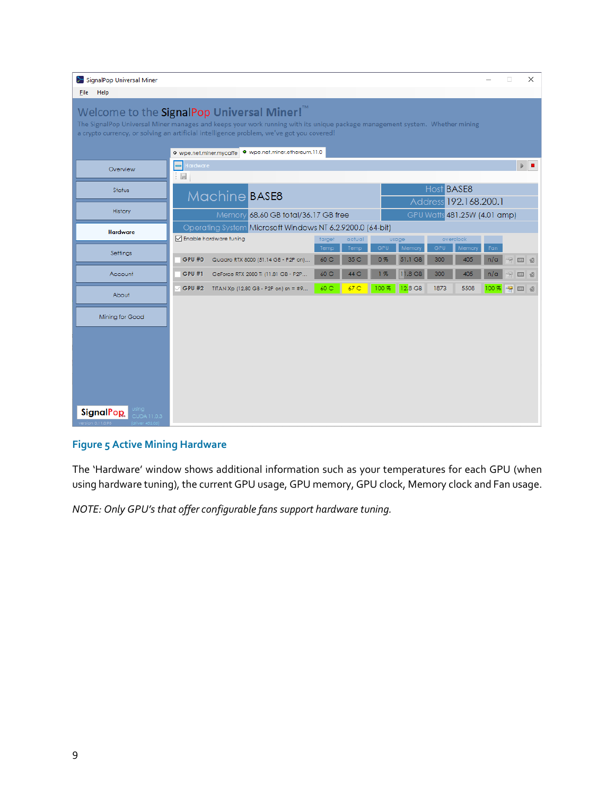| SignalPop Universal Miner                                                                                                                                                                                                                                                                                                                     |                                                                                                 |                           |                                                 | X<br>□                                   |  |
|-----------------------------------------------------------------------------------------------------------------------------------------------------------------------------------------------------------------------------------------------------------------------------------------------------------------------------------------------|-------------------------------------------------------------------------------------------------|---------------------------|-------------------------------------------------|------------------------------------------|--|
| Help<br><b>Eile</b>                                                                                                                                                                                                                                                                                                                           |                                                                                                 |                           |                                                 |                                          |  |
| Welcome to the SignalPop Universal Miner! <sup>™</sup><br>The SignalPop Universal Miner manages and keeps your work running with its unique package management system. Whether mining<br>a crypto currency, or solving an artificial intelligence problem, we've got you covered!<br>· wpe.net.miner.ethereum.11.0<br>O wpe.net.miner.mycaffe |                                                                                                 |                           |                                                 |                                          |  |
| Overview                                                                                                                                                                                                                                                                                                                                      | Hardware<br>$=$<br>÷<br>Ы                                                                       |                           |                                                 | $\triangleright$ $\blacksquare$          |  |
| Status                                                                                                                                                                                                                                                                                                                                        | Machine BASE8                                                                                   |                           | Host BASE8<br>Address 192.168.200.1             |                                          |  |
| History                                                                                                                                                                                                                                                                                                                                       | Memory 68.60 GB total/36.17 GB free                                                             |                           | GPU Watts 481.25W (4.01 amp)                    |                                          |  |
| <b>Hardware</b>                                                                                                                                                                                                                                                                                                                               | Operating System Microsoft Windows NT 6.2.9200.0 (64-bit)<br>○ Enable hardware funing<br>target | actual<br>usage           | overclock                                       |                                          |  |
| Settings                                                                                                                                                                                                                                                                                                                                      | Temp<br>GPU #0<br>Quadro RTX 8000 (51.14 GB - P2P on)<br>60 C                                   | GPU<br>Temp<br>35 C<br>0% | GPU<br>Memor<br>Memory<br>51.1 GB<br>300<br>405 | Fan<br>n/a<br>$\Rightarrow$<br>320<br>10 |  |
| Account                                                                                                                                                                                                                                                                                                                                       | GeForce RTX 2080 Ti (11.81 GB - P2P<br>60 C<br><b>GPU #1</b>                                    | 44 C<br>1%                | 11.8 GB<br>300<br>405                           | n/a<br>221<br>创                          |  |
| About                                                                                                                                                                                                                                                                                                                                         | 60 C<br><b>GPU #2</b><br>TITAN Xp (12.80 GB - P2P on) sn = #9                                   | 67 <sub>C</sub><br>100 %  | $12.8$ GB<br>1873<br>5508                       | 100 %<br>图图<br>- ම                       |  |
| Mining for Good                                                                                                                                                                                                                                                                                                                               |                                                                                                 |                           |                                                 |                                          |  |
| <b>SignalPop</b><br>CUDA 11.0.3<br>er 452.06)                                                                                                                                                                                                                                                                                                 |                                                                                                 |                           |                                                 |                                          |  |

# **Figure 5 Active Mining Hardware**

The 'Hardware' window shows additional information such as your temperatures for each GPU (when using hardware tuning), the current GPU usage, GPU memory, GPU clock, Memory clock and Fan usage.

*NOTE: Only GPU's that offer configurable fans support hardware tuning.*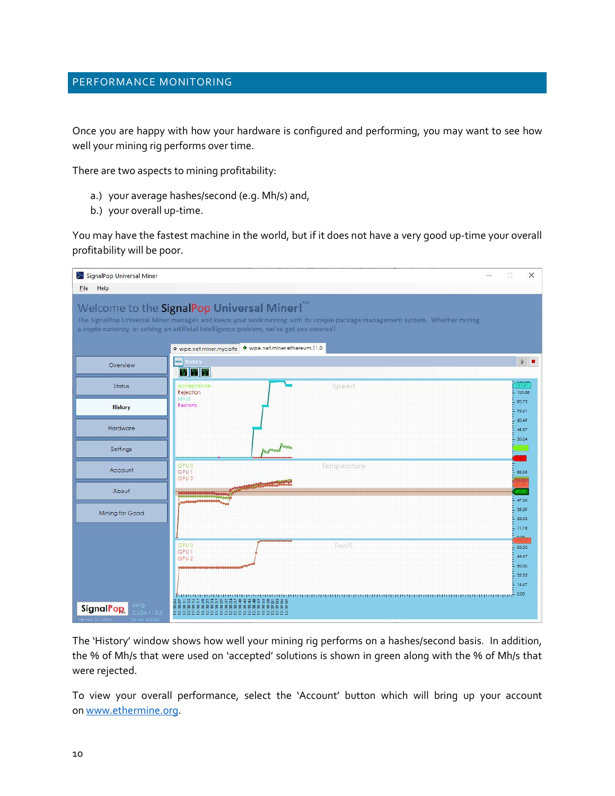# <span id="page-9-0"></span>PERFORMANCE MONITORING

Once you are happy with how your hardware is configured and performing, you may want to see how well your mining rig performs over time.

There are two aspects to mining profitability:

- a.) your average hashes/second (e.g. Mh/s) and,
- b.) your overall up-time.

You may have the fastest machine in the world, but if it does not have a very good up-time your overall profitability will be poor.

| SignalPop Universal Miner                |                                                                                                                                                                                                                                                                                                                                               | ×<br>□                          |
|------------------------------------------|-----------------------------------------------------------------------------------------------------------------------------------------------------------------------------------------------------------------------------------------------------------------------------------------------------------------------------------------------|---------------------------------|
| Help<br><b>Eile</b>                      |                                                                                                                                                                                                                                                                                                                                               |                                 |
|                                          | Welcome to the SignalPop Universal Miner! <sup>™</sup><br>The SignalPop Universal Miner manages and keeps your work running with its unique package management system. Whether mining<br>a crypto currency, or solving an artificial intelligence problem, we've got you covered!<br>· wpe.net.miner.ethereum.11.0<br>O wpe.net.miner.mycaffe |                                 |
| Overview                                 | <b>History</b><br>$\equiv$<br><b>BPW</b> 9PW 9PW                                                                                                                                                                                                                                                                                              | $\triangleright$ $\blacksquare$ |
| Status                                   | Speed<br>Acceptance<br>Rejection<br>Mh/s                                                                                                                                                                                                                                                                                                      | 121.27<br>105.86                |
| <b>History</b>                           | Restarts                                                                                                                                                                                                                                                                                                                                      | 90.73<br>75.61<br>60.49         |
| Hardware                                 |                                                                                                                                                                                                                                                                                                                                               | 45.37<br>30.24                  |
| Settings                                 |                                                                                                                                                                                                                                                                                                                                               |                                 |
| Account                                  | GPU 0<br>Temperature<br>GPU <sub>1</sub><br>GPU <sub>2</sub>                                                                                                                                                                                                                                                                                  | 82.35                           |
| About                                    |                                                                                                                                                                                                                                                                                                                                               | 47.06                           |
| Mining for Good                          |                                                                                                                                                                                                                                                                                                                                               | 35.29<br>23.53<br>11.76<br>в    |
|                                          | GPU D<br>Fon%<br>GPU <sub>1</sub><br>GPU <sub>2</sub>                                                                                                                                                                                                                                                                                         | 0.00<br>83.33<br>66.67<br>50.00 |
|                                          |                                                                                                                                                                                                                                                                                                                                               | 33.33<br>16.67                  |
| Jana-<br><b>SignalPop</b><br>CUDA 11.0.3 | <b>BREEZERRADBRAZZZZZZZZZZ</b><br><u>6000000000000000000000000</u>                                                                                                                                                                                                                                                                            | 0.00                            |

The 'History' window shows how well your mining rig performs on a hashes/second basis. In addition, the % of Mh/s that were used on 'accepted' solutions is shown in green along with the % of Mh/s that were rejected.

To view your overall performance, select the 'Account' button which will bring up your account on [www.ethermine.org.](http://www.ethermine.org/)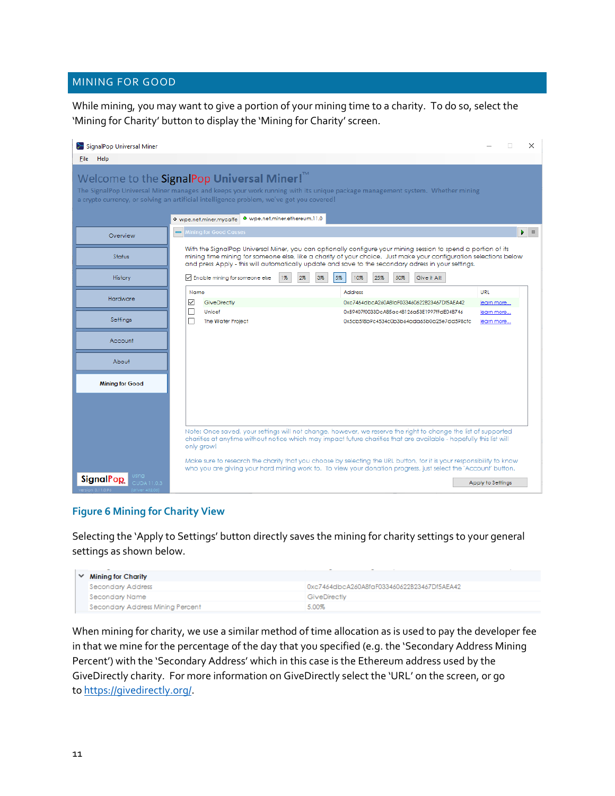# <span id="page-10-0"></span>MINING FOR GOOD

While mining, you may want to give a portion of your mining time to a charity. To do so, select the 'Mining for Charity' button to display the 'Mining for Charity' screen.



# **Figure 6 Mining for Charity View**

Selecting the 'Apply to Settings' button directly saves the mining for charity settings to your general settings as shown below.

|  | Mining for Charity               |                                            |
|--|----------------------------------|--------------------------------------------|
|  | Secondary Address                | 0xc7464dbcA260A8faF033460622B23467Df5AEA42 |
|  | Secondary Name                   | GiveDirectly                               |
|  | Secondary Address Mining Percent | 5.00%                                      |

When mining for charity, we use a similar method of time allocation as is used to pay the developer fee in that we mine for the percentage of the day that you specified (e.g. the 'Secondary Address Mining Percent') with the 'Secondary Address' which in this case is the Ethereum address used by the GiveDirectly charity. For more information on GiveDirectly select the 'URL' on the screen, or go to [https://givedirectly.org/.](https://givedirectly.org/)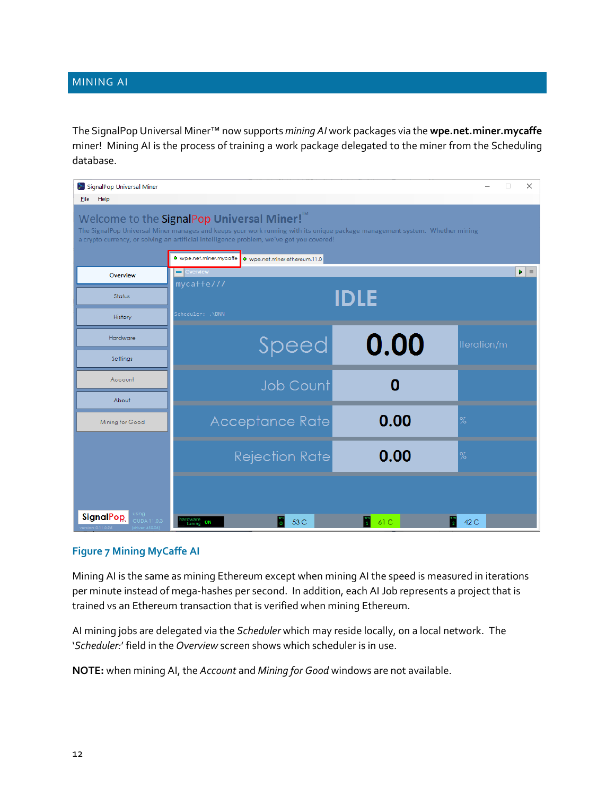# <span id="page-11-0"></span>MINING AI

The SignalPop Universal Miner™ now supports *mining AI* work packages via the **wpe.net.miner.mycaffe** miner! Mining AI is the process of training a work package delegated to the miner from the Scheduling database.

| SignalPop Universal Miner                 |                                                                                                                                                                                                                                                                                   |      | $\times$<br>П                                                  |
|-------------------------------------------|-----------------------------------------------------------------------------------------------------------------------------------------------------------------------------------------------------------------------------------------------------------------------------------|------|----------------------------------------------------------------|
| <b>File</b><br>Help                       | Welcome to the SignalPop Universal Miner! <sup>™</sup><br>The SignalPop Universal Miner manages and keeps your work running with its unique package management system. Whether mining<br>a crypto currency, or solving an artificial intelligence problem, we've got you covered! |      |                                                                |
| Overview                                  | · wpe.net.miner.mycaffe   • wpe.net.miner.ethereum.11.0<br>Overview                                                                                                                                                                                                               |      | $\blacktriangleright$ $\vdash$<br>$\qquad \qquad \blacksquare$ |
| Status                                    | mycaffe777<br>IDLE                                                                                                                                                                                                                                                                |      |                                                                |
| History                                   | Scheduler: .\DNN                                                                                                                                                                                                                                                                  |      |                                                                |
| Hardware                                  | Speed                                                                                                                                                                                                                                                                             | 0.00 | Iteration/m                                                    |
| Settings                                  |                                                                                                                                                                                                                                                                                   |      |                                                                |
| Account                                   | <b>Job Count</b>                                                                                                                                                                                                                                                                  | 0    |                                                                |
| About                                     |                                                                                                                                                                                                                                                                                   |      |                                                                |
| Mining for Good                           | Acceptance Rate                                                                                                                                                                                                                                                                   | 0.00 | $\%$                                                           |
|                                           | <b>Rejection Rate</b>                                                                                                                                                                                                                                                             | 0.00 | $\%$                                                           |
|                                           |                                                                                                                                                                                                                                                                                   |      |                                                                |
| Jsing.<br><b>SignalPop</b><br>CUDA 11.0.3 | hardware<br>tuning ON<br>53 C                                                                                                                                                                                                                                                     | 61 C | 42 C                                                           |

# **Figure 7 Mining MyCaffe AI**

Mining AI is the same as mining Ethereum except when mining AI the speed is measured in iterations per minute instead of mega-hashes per second. In addition, each AI Job represents a project that is trained vs an Ethereum transaction that is verified when mining Ethereum.

AI mining jobs are delegated via the *Scheduler* which may reside locally, on a local network. The '*Scheduler:*' field in the *Overview* screen shows which scheduler is in use.

**NOTE:** when mining AI, the *Account* and *Mining for Good* windows are not available.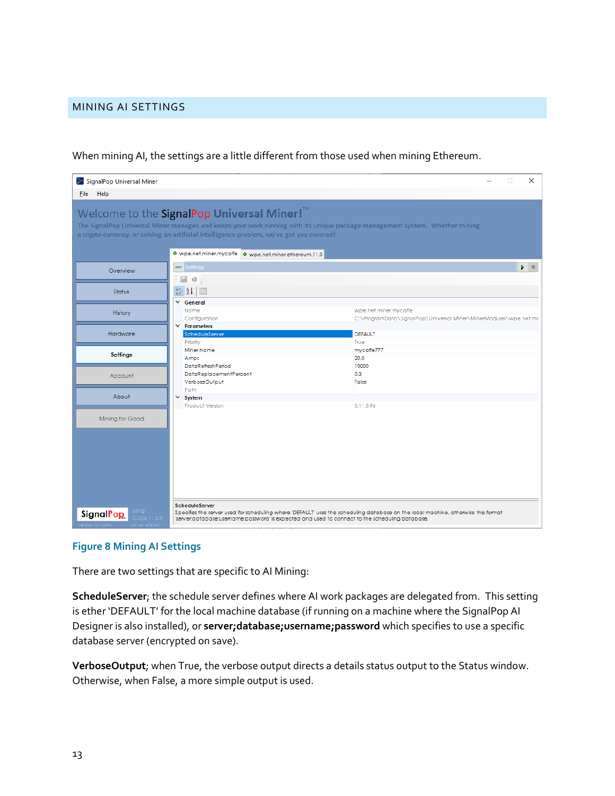# <span id="page-12-0"></span>MINING AI SETTINGS

When mining AI, the settings are a little different from those used when mining Ethereum.

| SignalPop Universal Miner                                          |                                                                                                                                                                                                             | $\times$<br>□                                                                                                                                                                                                                       |  |
|--------------------------------------------------------------------|-------------------------------------------------------------------------------------------------------------------------------------------------------------------------------------------------------------|-------------------------------------------------------------------------------------------------------------------------------------------------------------------------------------------------------------------------------------|--|
| File Help                                                          |                                                                                                                                                                                                             |                                                                                                                                                                                                                                     |  |
|                                                                    | Welcome to the SignalPop Universal Miner! <sup>™</sup><br>a crypto currency, or solving an artificial intelligence problem, we've got you covered!<br>· wpe.net.miner.mycaffe · wpe.net.miner.ethereum.11.0 | The SignalPop Universal Miner manages and keeps your work running with its unique package management system. Whether mining                                                                                                         |  |
| Overview                                                           | Settings<br>Ы<br>el                                                                                                                                                                                         | Ы<br><b>B</b>                                                                                                                                                                                                                       |  |
| Status                                                             | $\frac{1}{2}$ $\frac{1}{2}$ $\frac{1}{2}$<br>$\times$ General                                                                                                                                               |                                                                                                                                                                                                                                     |  |
| History                                                            | Name<br>Configuration                                                                                                                                                                                       | wpe.net.miner.mycaffe<br>C:\ProgramData\SignalPop\Universal Miner\MinerModules\wpe.net.mir                                                                                                                                          |  |
| Hardware                                                           | $\times$ Parameters<br>ScheduleServer<br>Priority                                                                                                                                                           | <b>DEFAULT</b><br>True                                                                                                                                                                                                              |  |
| <b>Settings</b>                                                    | Miner Name<br>Amps<br>DataRefreshPeriod                                                                                                                                                                     | mycaffe777<br>20.0<br>10000                                                                                                                                                                                                         |  |
| Account                                                            | DataReplacementPercent<br>VerboseOutput                                                                                                                                                                     | 0.3<br>False                                                                                                                                                                                                                        |  |
| About                                                              | Path<br>$\times$ System<br><b>Product Version</b>                                                                                                                                                           | 0.11.0.96                                                                                                                                                                                                                           |  |
| Mining for Good                                                    |                                                                                                                                                                                                             |                                                                                                                                                                                                                                     |  |
| using<br><b>SignalPop</b><br><b>CUDA 11.0.3</b><br>rsion 0.11.0.96 | ScheduleServer                                                                                                                                                                                              | Specifies the server used for scheduling where 'DEFAULT' uses the scheduling database on the local machine, otherwise the format<br>'server;database;username;password' is expected and used to connect to the scheduling database. |  |

# **Figure 8 Mining AI Settings**

There are two settings that are specific to AI Mining:

**ScheduleServer**; the schedule server defines where AI work packages are delegated from. This setting is ether 'DEFAULT' for the local machine database (if running on a machine where the SignalPop AI Designer is also installed), or **server;database;username;password** which specifies to use a specific database server (encrypted on save).

**VerboseOutput**; when True, the verbose output directs a details status output to the Status window. Otherwise, when False, a more simple output is used.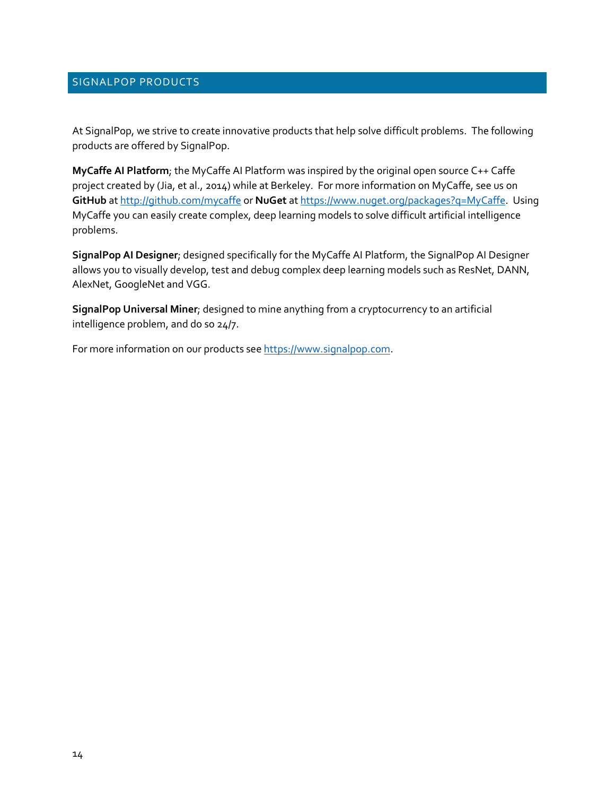# <span id="page-13-0"></span>SIGNALPOP PRODUCTS

At SignalPop, we strive to create innovative products that help solve difficult problems. The following products are offered by SignalPop.

**MyCaffe AI Platform**; the MyCaffe AI Platform was inspired by the original open source C++ Caffe project created by (Jia, et al., 2014) while at Berkeley. For more information on MyCaffe, see us on **GitHub** a[t http://github.com/mycaffe](http://github.com/mycaffe) or **NuGet** a[t https://www.nuget.org/packages?q=MyCaffe.](https://www.nuget.org/packages?q=MyCaffe) Using MyCaffe you can easily create complex, deep learning models to solve difficult artificial intelligence problems.

**SignalPop AI Designer**; designed specifically for the MyCaffe AI Platform, the SignalPop AI Designer allows you to visually develop, test and debug complex deep learning models such as ResNet, DANN, AlexNet, GoogleNet and VGG.

**SignalPop Universal Miner**; designed to mine anything from a cryptocurrency to an artificial intelligence problem, and do so 24/7.

For more information on our products see [https://www.signalpop.com.](https://www.signalpop.com/)